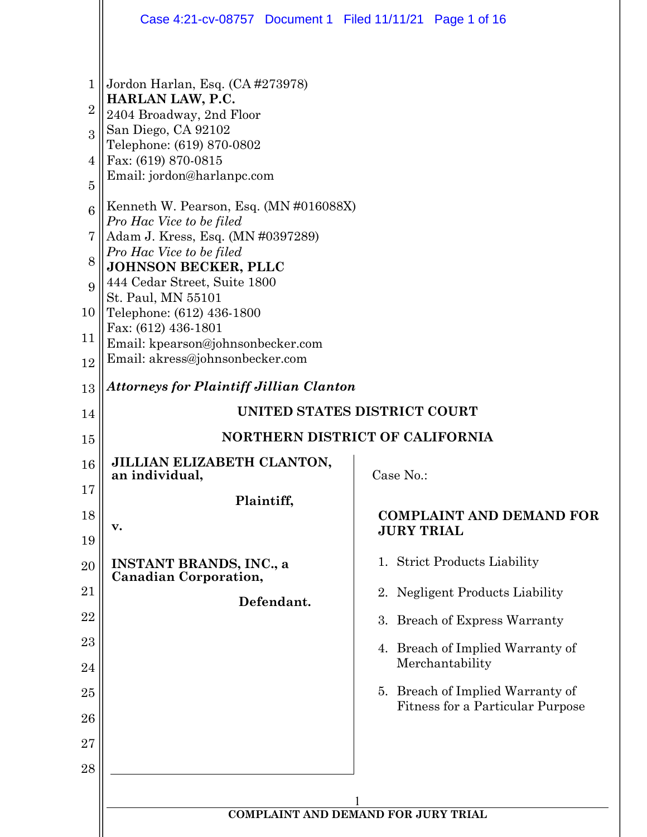|                | Case 4:21-cv-08757 Document 1 Filed 11/11/21 Page 1 of 16          |                                                      |  |  |
|----------------|--------------------------------------------------------------------|------------------------------------------------------|--|--|
|                |                                                                    |                                                      |  |  |
| 1              | Jordon Harlan, Esq. (CA #273978)<br>HARLAN LAW, P.C.               |                                                      |  |  |
| $\overline{2}$ | 2404 Broadway, 2nd Floor                                           |                                                      |  |  |
| $\overline{3}$ | San Diego, CA 92102<br>Telephone: (619) 870-0802                   |                                                      |  |  |
| 4              | Fax: (619) 870-0815                                                |                                                      |  |  |
| $\overline{5}$ | Email: jordon@harlanpc.com                                         |                                                      |  |  |
| 6              | Kenneth W. Pearson, Esq. (MN #016088X)<br>Pro Hac Vice to be filed |                                                      |  |  |
| 7              | Adam J. Kress, Esq. (MN #0397289)                                  |                                                      |  |  |
| 8              | Pro Hac Vice to be filed<br><b>JOHNSON BECKER, PLLC</b>            |                                                      |  |  |
| 9              | 444 Cedar Street, Suite 1800<br>St. Paul, MN 55101                 |                                                      |  |  |
| 10             | Telephone: (612) 436-1800                                          |                                                      |  |  |
| 11             | Fax: (612) 436-1801<br>Email: kpearson@johnsonbecker.com           |                                                      |  |  |
| 12             | Email: akress@johnsonbecker.com                                    |                                                      |  |  |
| 13             | <b>Attorneys for Plaintiff Jillian Clanton</b>                     |                                                      |  |  |
| 14             |                                                                    | UNITED STATES DISTRICT COURT                         |  |  |
| 15             |                                                                    | NORTHERN DISTRICT OF CALIFORNIA                      |  |  |
| 16             | JILLIAN ELIZABETH CLANTON,<br>an individual,                       | Case No.:                                            |  |  |
| 17             | Plaintiff,                                                         |                                                      |  |  |
| 18             | v.                                                                 | <b>COMPLAINT AND DEMAND FOR</b><br><b>JURY TRIAL</b> |  |  |
| 19<br>20       | <b>INSTANT BRANDS, INC., a</b>                                     | 1. Strict Products Liability                         |  |  |
|                | <b>Canadian Corporation,</b>                                       |                                                      |  |  |
| 21<br>22       | Defendant.                                                         | 2. Negligent Products Liability                      |  |  |
|                |                                                                    | 3. Breach of Express Warranty                        |  |  |
| 23<br>24       |                                                                    | 4. Breach of Implied Warranty of<br>Merchantability  |  |  |
| 25             |                                                                    | 5. Breach of Implied Warranty of                     |  |  |
| 26             |                                                                    | Fitness for a Particular Purpose                     |  |  |
| 27             |                                                                    |                                                      |  |  |
| 28             |                                                                    |                                                      |  |  |
|                |                                                                    |                                                      |  |  |
|                |                                                                    | <b>COMPLAINT AND DEMAND FOR JURY TRIAL</b>           |  |  |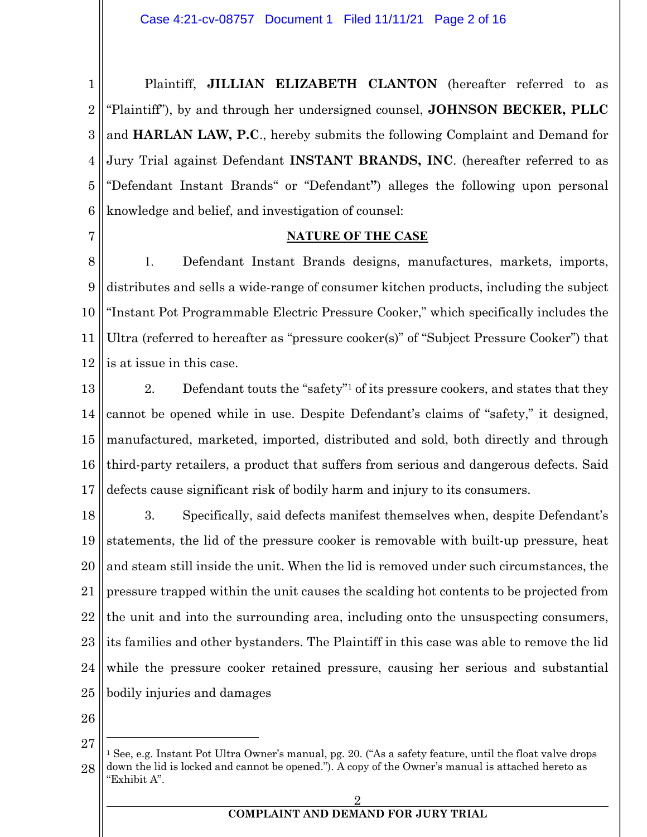1 2 3 4 5 6 Plaintiff, **JILLIAN ELIZABETH CLANTON** (hereafter referred to as "Plaintiff"), by and through her undersigned counsel, **JOHNSON BECKER, PLLC** and **HARLAN LAW, P.C**., hereby submits the following Complaint and Demand for Jury Trial against Defendant **INSTANT BRANDS, INC**. (hereafter referred to as "Defendant Instant Brands" or "Defendant**"**) alleges the following upon personal knowledge and belief, and investigation of counsel:

7

#### **NATURE OF THE CASE**

8 9 10 11 12 1. Defendant Instant Brands designs, manufactures, markets, imports, distributes and sells a wide-range of consumer kitchen products, including the subject "Instant Pot Programmable Electric Pressure Cooker," which specifically includes the Ultra (referred to hereafter as "pressure cooker(s)" of "Subject Pressure Cooker") that is at issue in this case.

13 14 15 16 17 2. Defendant touts the "safety"1 of its pressure cookers, and states that they cannot be opened while in use. Despite Defendant's claims of "safety," it designed, manufactured, marketed, imported, distributed and sold, both directly and through third-party retailers, a product that suffers from serious and dangerous defects. Said defects cause significant risk of bodily harm and injury to its consumers.

18 19 20 21 22 23 24 25 3. Specifically, said defects manifest themselves when, despite Defendant's statements, the lid of the pressure cooker is removable with built-up pressure, heat and steam still inside the unit. When the lid is removed under such circumstances, the pressure trapped within the unit causes the scalding hot contents to be projected from the unit and into the surrounding area, including onto the unsuspecting consumers, its families and other bystanders. The Plaintiff in this case was able to remove the lid while the pressure cooker retained pressure, causing her serious and substantial bodily injuries and damages

<sup>27</sup> 28 <sup>1</sup> See, e.g. Instant Pot Ultra Owner's manual, pg. 20. ("As a safety feature, until the float valve drops down the lid is locked and cannot be opened."). A copy of the Owner's manual is attached hereto as "Exhibit A".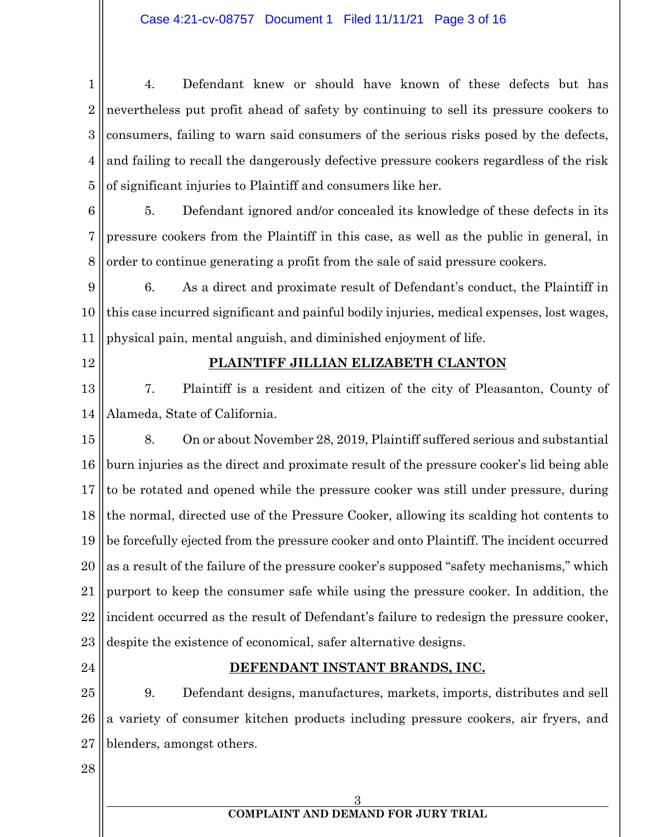1 2 3 4 5 4. Defendant knew or should have known of these defects but has nevertheless put profit ahead of safety by continuing to sell its pressure cookers to consumers, failing to warn said consumers of the serious risks posed by the defects, and failing to recall the dangerously defective pressure cookers regardless of the risk of significant injuries to Plaintiff and consumers like her.

6 7 8 5. Defendant ignored and/or concealed its knowledge of these defects in its pressure cookers from the Plaintiff in this case, as well as the public in general, in order to continue generating a profit from the sale of said pressure cookers.

9 10 11 6. As a direct and proximate result of Defendant's conduct, the Plaintiff in this case incurred significant and painful bodily injuries, medical expenses, lost wages, physical pain, mental anguish, and diminished enjoyment of life.

12

### **PLAINTIFF JILLIAN ELIZABETH CLANTON**

13 14 7. Plaintiff is a resident and citizen of the city of Pleasanton, County of Alameda, State of California.

15 16 17 18 19 20 21 22 23 8. On or about November 28, 2019, Plaintiff suffered serious and substantial burn injuries as the direct and proximate result of the pressure cooker's lid being able to be rotated and opened while the pressure cooker was still under pressure, during the normal, directed use of the Pressure Cooker, allowing its scalding hot contents to be forcefully ejected from the pressure cooker and onto Plaintiff. The incident occurred as a result of the failure of the pressure cooker's supposed "safety mechanisms," which purport to keep the consumer safe while using the pressure cooker. In addition, the incident occurred as the result of Defendant's failure to redesign the pressure cooker, despite the existence of economical, safer alternative designs.

24

#### **DEFENDANT INSTANT BRANDS, INC.**

25 26 27 9. Defendant designs, manufactures, markets, imports, distributes and sell a variety of consumer kitchen products including pressure cookers, air fryers, and blenders, amongst others.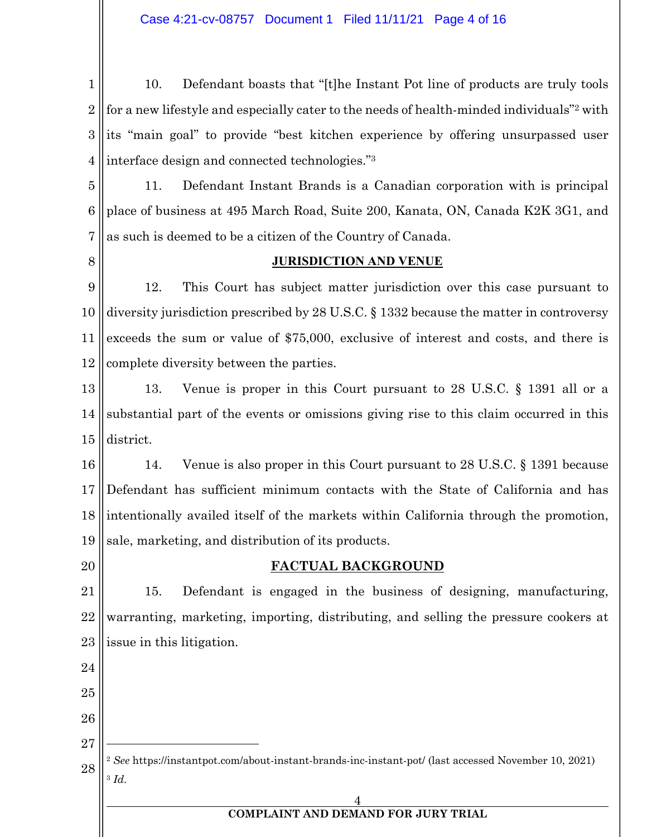Case 4:21-cv-08757 Document 1 Filed 11/11/21 Page 4 of 16

1 2 3 4 10. Defendant boasts that "[t]he Instant Pot line of products are truly tools for a new lifestyle and especially cater to the needs of health-minded individuals"2 with its "main goal" to provide "best kitchen experience by offering unsurpassed user interface design and connected technologies."3

5 6 7 11. Defendant Instant Brands is a Canadian corporation with is principal place of business at 495 March Road, Suite 200, Kanata, ON, Canada K2K 3G1, and as such is deemed to be a citizen of the Country of Canada.

8

#### **JURISDICTION AND VENUE**

9 10 11 12 12. This Court has subject matter jurisdiction over this case pursuant to diversity jurisdiction prescribed by 28 U.S.C. § 1332 because the matter in controversy exceeds the sum or value of \$75,000, exclusive of interest and costs, and there is complete diversity between the parties.

13 14 15 13. Venue is proper in this Court pursuant to 28 U.S.C. § 1391 all or a substantial part of the events or omissions giving rise to this claim occurred in this district.

16 17 18 19 14. Venue is also proper in this Court pursuant to 28 U.S.C. § 1391 because Defendant has sufficient minimum contacts with the State of California and has intentionally availed itself of the markets within California through the promotion, sale, marketing, and distribution of its products.

20

#### **FACTUAL BACKGROUND**

21 22 23 15. Defendant is engaged in the business of designing, manufacturing, warranting, marketing, importing, distributing, and selling the pressure cookers at issue in this litigation.

- 25
- 26
- 27

24

28 <sup>2</sup> *See* https://instantpot.com/about-instant-brands-inc-instant-pot/ (last accessed November 10, 2021) <sup>3</sup> *Id.*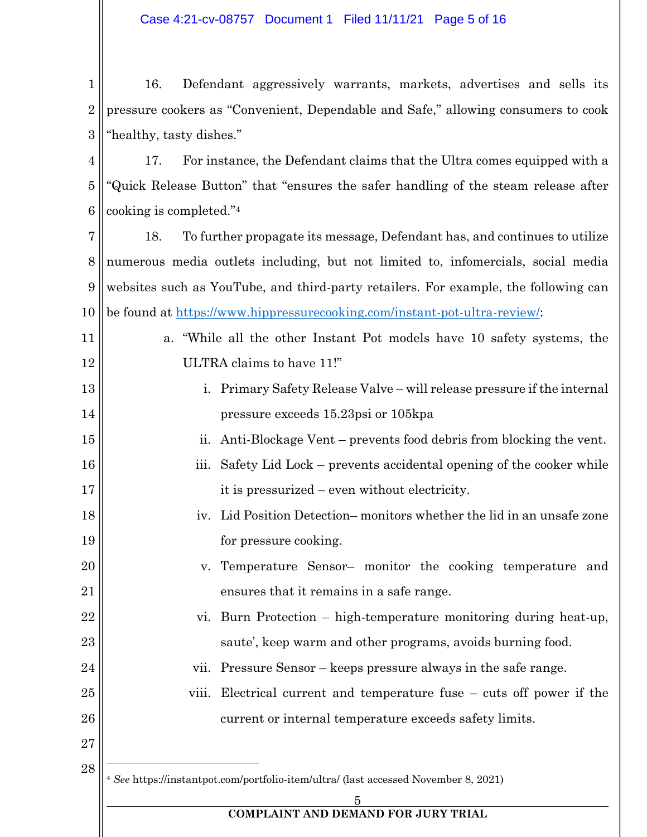1 2 3 16. Defendant aggressively warrants, markets, advertises and sells its pressure cookers as "Convenient, Dependable and Safe," allowing consumers to cook "healthy, tasty dishes."

4 5 6 17. For instance, the Defendant claims that the Ultra comes equipped with a "Quick Release Button" that "ensures the safer handling of the steam release after cooking is completed."4

7 8 9 10 18. To further propagate its message, Defendant has, and continues to utilize numerous media outlets including, but not limited to, infomercials, social media websites such as YouTube, and third-party retailers. For example, the following can be found at https://www.hippressurecooking.com/instant-pot-ultra-review/:

- 11 12 a. "While all the other Instant Pot models have 10 safety systems, the ULTRA claims to have 11!"
- 13 14 i. Primary Safety Release Valve – will release pressure if the internal pressure exceeds 15.23psi or 105kpa
- 15 ii. Anti-Blockage Vent – prevents food debris from blocking the vent.
- 16 17 iii. Safety Lid Lock – prevents accidental opening of the cooker while it is pressurized – even without electricity.
- 18 19 iv. Lid Position Detection– monitors whether the lid in an unsafe zone for pressure cooking.
- 20 21 v. Temperature Sensor– monitor the cooking temperature and ensures that it remains in a safe range.
- 22 23 vi. Burn Protection – high-temperature monitoring during heat-up, saute', keep warm and other programs, avoids burning food.
	- vii. Pressure Sensor keeps pressure always in the safe range.
- 25 26 viii. Electrical current and temperature fuse – cuts off power if the current or internal temperature exceeds safety limits.
- 27 28

24

<sup>4</sup> *See* https://instantpot.com/portfolio-item/ultra/ (last accessed November 8, 2021)

 $\overline{5}$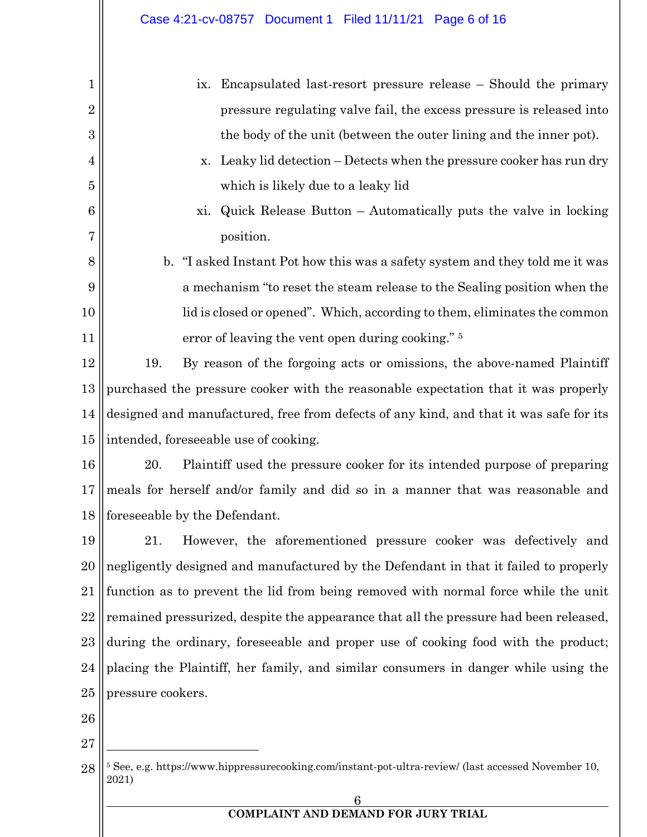| 1              | Encapsulated last-resort pressure release – Should the primary<br>1X.                                                    |  |  |
|----------------|--------------------------------------------------------------------------------------------------------------------------|--|--|
| $\overline{2}$ | pressure regulating valve fail, the excess pressure is released into                                                     |  |  |
| 3              | the body of the unit (between the outer lining and the inner pot).                                                       |  |  |
| 4              | Leaky lid detection – Detects when the pressure cooker has run dry<br>X.                                                 |  |  |
| $\overline{5}$ | which is likely due to a leaky lid                                                                                       |  |  |
| 6              | Quick Release Button $-$ Automatically puts the valve in locking<br>xi.                                                  |  |  |
| 7              | position.                                                                                                                |  |  |
| 8              | "I asked Instant Pot how this was a safety system and they told me it was<br>$\mathbf{b}$ .                              |  |  |
| 9              | a mechanism "to reset the steam release to the Sealing position when the                                                 |  |  |
| 10             | lid is closed or opened". Which, according to them, eliminates the common                                                |  |  |
| 11             | error of leaving the vent open during cooking." 5                                                                        |  |  |
| 12             | By reason of the forgoing acts or omissions, the above-named Plaintiff<br>19.                                            |  |  |
| 13             | purchased the pressure cooker with the reasonable expectation that it was properly                                       |  |  |
| 14             | designed and manufactured, free from defects of any kind, and that it was safe for its                                   |  |  |
| 15             | intended, foreseeable use of cooking.                                                                                    |  |  |
| 16             | 20.<br>Plaintiff used the pressure cooker for its intended purpose of preparing                                          |  |  |
| 17             | meals for herself and/or family and did so in a manner that was reasonable and                                           |  |  |
| 18             | foreseeable by the Defendant.                                                                                            |  |  |
| 19             | 21. However, the aforementioned pressure cooker was defectively and                                                      |  |  |
| 20             | negligently designed and manufactured by the Defendant in that it failed to properly                                     |  |  |
| 21             | function as to prevent the lid from being removed with normal force while the unit                                       |  |  |
| 22             | remained pressurized, despite the appearance that all the pressure had been released,                                    |  |  |
| 23             | during the ordinary, foreseeable and proper use of cooking food with the product;                                        |  |  |
| 24             | placing the Plaintiff, her family, and similar consumers in danger while using the                                       |  |  |
| 25             | pressure cookers.                                                                                                        |  |  |
| 26             |                                                                                                                          |  |  |
| 27             |                                                                                                                          |  |  |
| 28             | <sup>5</sup> See, e.g. https://www.hippressurecooking.com/instant-pot-ultra-review/ (last accessed November 10,<br>2021) |  |  |
|                | 6                                                                                                                        |  |  |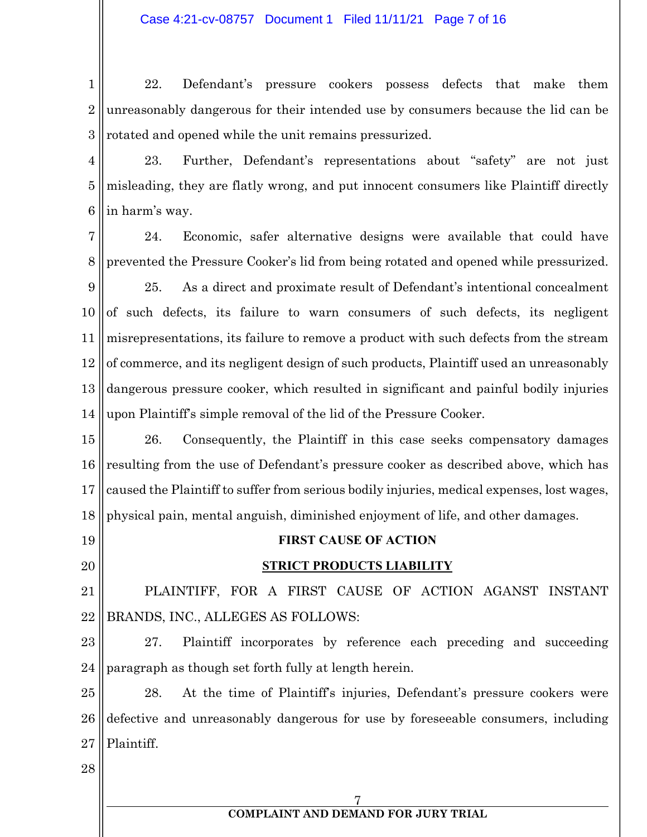1 2 3 22. Defendant's pressure cookers possess defects that make them unreasonably dangerous for their intended use by consumers because the lid can be rotated and opened while the unit remains pressurized.

- 4 5 6 23. Further, Defendant's representations about "safety" are not just misleading, they are flatly wrong, and put innocent consumers like Plaintiff directly in harm's way.
- 7 8 24. Economic, safer alternative designs were available that could have prevented the Pressure Cooker's lid from being rotated and opened while pressurized.
- 9 10 11 12 13 14 25. As a direct and proximate result of Defendant's intentional concealment of such defects, its failure to warn consumers of such defects, its negligent misrepresentations, its failure to remove a product with such defects from the stream of commerce, and its negligent design of such products, Plaintiff used an unreasonably dangerous pressure cooker, which resulted in significant and painful bodily injuries upon Plaintiff's simple removal of the lid of the Pressure Cooker.

15 16 17 18 26. Consequently, the Plaintiff in this case seeks compensatory damages resulting from the use of Defendant's pressure cooker as described above, which has caused the Plaintiff to suffer from serious bodily injuries, medical expenses, lost wages, physical pain, mental anguish, diminished enjoyment of life, and other damages.

- 19
- 20

# **FIRST CAUSE OF ACTION**

## **STRICT PRODUCTS LIABILITY**

21 22 PLAINTIFF, FOR A FIRST CAUSE OF ACTION AGANST INSTANT BRANDS, INC., ALLEGES AS FOLLOWS:

23 24 27. Plaintiff incorporates by reference each preceding and succeeding paragraph as though set forth fully at length herein.

25 26 27 28. At the time of Plaintiff's injuries, Defendant's pressure cookers were defective and unreasonably dangerous for use by foreseeable consumers, including Plaintiff.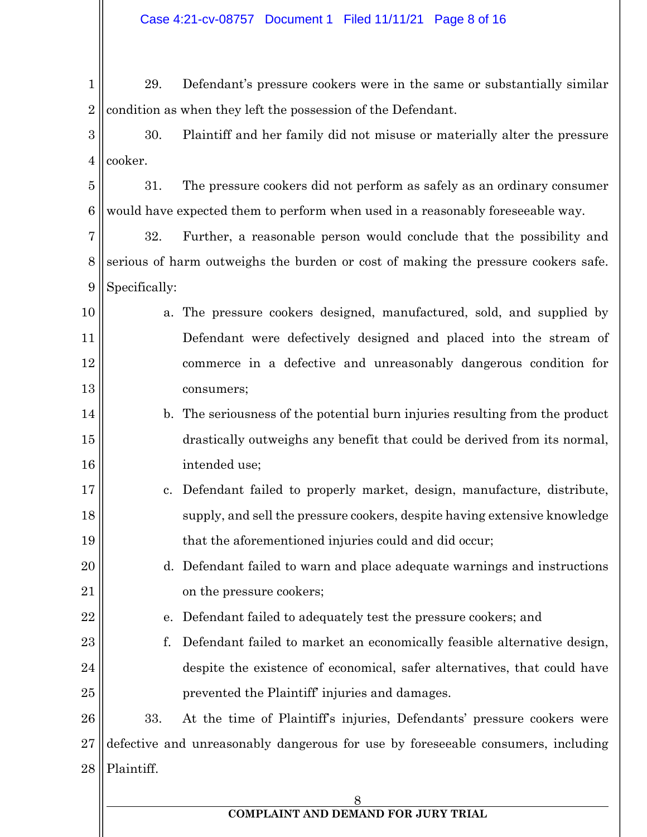1 2 29. Defendant's pressure cookers were in the same or substantially similar condition as when they left the possession of the Defendant.

3 4 30. Plaintiff and her family did not misuse or materially alter the pressure cooker.

5 6 31. The pressure cookers did not perform as safely as an ordinary consumer would have expected them to perform when used in a reasonably foreseeable way.

7 8 9 32. Further, a reasonable person would conclude that the possibility and serious of harm outweighs the burden or cost of making the pressure cookers safe. Specifically:

- 10 11 12 13 a. The pressure cookers designed, manufactured, sold, and supplied by Defendant were defectively designed and placed into the stream of commerce in a defective and unreasonably dangerous condition for consumers;
- 14 15 16 b. The seriousness of the potential burn injuries resulting from the product drastically outweighs any benefit that could be derived from its normal, intended use;
- 17 18 19 c. Defendant failed to properly market, design, manufacture, distribute, supply, and sell the pressure cookers, despite having extensive knowledge that the aforementioned injuries could and did occur;
- 20 21 d. Defendant failed to warn and place adequate warnings and instructions on the pressure cookers;
	- e. Defendant failed to adequately test the pressure cookers; and

22

23 24 25 f. Defendant failed to market an economically feasible alternative design, despite the existence of economical, safer alternatives, that could have prevented the Plaintiff' injuries and damages.

26 27 28 33. At the time of Plaintiff's injuries, Defendants' pressure cookers were defective and unreasonably dangerous for use by foreseeable consumers, including Plaintiff.

### 8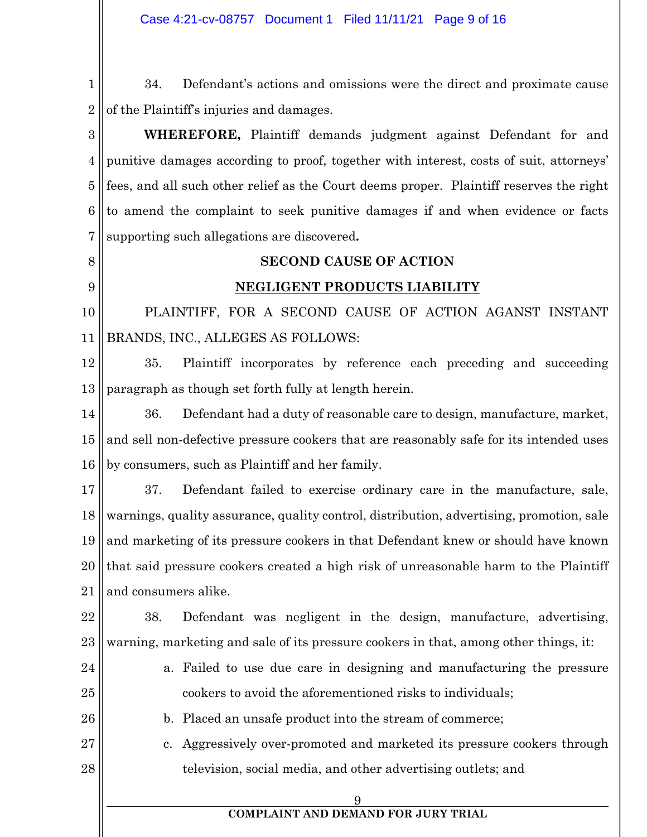1 2 34. Defendant's actions and omissions were the direct and proximate cause of the Plaintiff's injuries and damages.

3 4 5 6 7 **WHEREFORE,** Plaintiff demands judgment against Defendant for and punitive damages according to proof, together with interest, costs of suit, attorneys' fees, and all such other relief as the Court deems proper. Plaintiff reserves the right to amend the complaint to seek punitive damages if and when evidence or facts supporting such allegations are discovered**.**

8

9

### **SECOND CAUSE OF ACTION**

### **NEGLIGENT PRODUCTS LIABILITY**

10 11 PLAINTIFF, FOR A SECOND CAUSE OF ACTION AGANST INSTANT BRANDS, INC., ALLEGES AS FOLLOWS:

12 13 35. Plaintiff incorporates by reference each preceding and succeeding paragraph as though set forth fully at length herein.

14 15 16 36. Defendant had a duty of reasonable care to design, manufacture, market, and sell non-defective pressure cookers that are reasonably safe for its intended uses by consumers, such as Plaintiff and her family.

17 18 19 20 21 37. Defendant failed to exercise ordinary care in the manufacture, sale, warnings, quality assurance, quality control, distribution, advertising, promotion, sale and marketing of its pressure cookers in that Defendant knew or should have known that said pressure cookers created a high risk of unreasonable harm to the Plaintiff and consumers alike.

22 23 38. Defendant was negligent in the design, manufacture, advertising, warning, marketing and sale of its pressure cookers in that, among other things, it:

24

25

26

a. Failed to use due care in designing and manufacturing the pressure cookers to avoid the aforementioned risks to individuals;

b. Placed an unsafe product into the stream of commerce;

27 28 c. Aggressively over-promoted and marketed its pressure cookers through television, social media, and other advertising outlets; and

9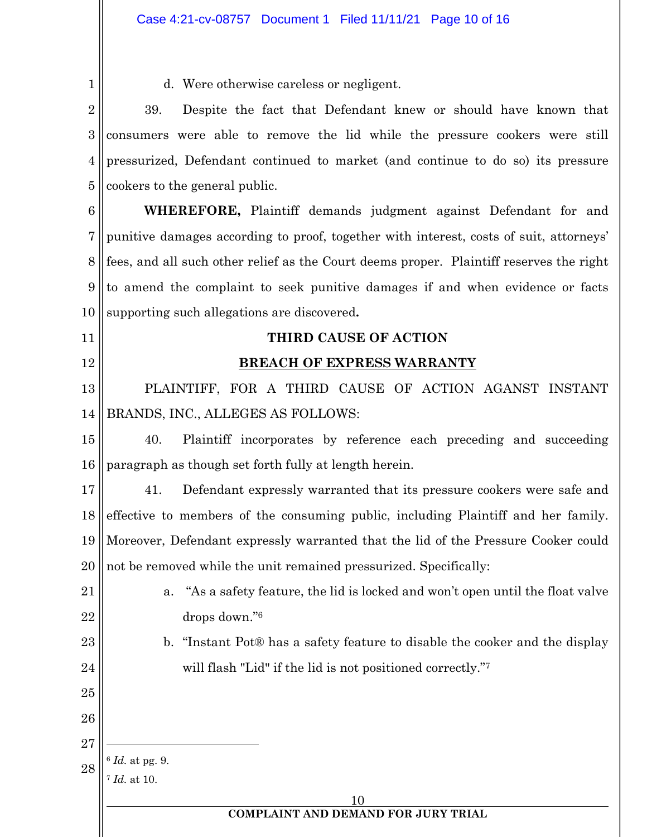| $\mathbf{1}$   | d. Were otherwise careless or negligent.                                                   |  |
|----------------|--------------------------------------------------------------------------------------------|--|
| $\overline{2}$ | Despite the fact that Defendant knew or should have known that<br>39.                      |  |
| 3              | consumers were able to remove the lid while the pressure cookers were still                |  |
| 4              | pressurized, Defendant continued to market (and continue to do so) its pressure            |  |
| 5              | cookers to the general public.                                                             |  |
| 6              | WHEREFORE, Plaintiff demands judgment against Defendant for and                            |  |
| 7              | punitive damages according to proof, together with interest, costs of suit, attorneys'     |  |
| 8              | fees, and all such other relief as the Court deems proper. Plaintiff reserves the right    |  |
| 9              | to amend the complaint to seek punitive damages if and when evidence or facts              |  |
| 10             | supporting such allegations are discovered.                                                |  |
| 11             | THIRD CAUSE OF ACTION                                                                      |  |
| 12             | <b>BREACH OF EXPRESS WARRANTY</b>                                                          |  |
| 13             | PLAINTIFF, FOR A THIRD CAUSE OF ACTION AGANST INSTANT                                      |  |
| 14             | BRANDS, INC., ALLEGES AS FOLLOWS:                                                          |  |
| 15             | Plaintiff incorporates by reference each preceding and succeeding<br>40.                   |  |
| 16             | paragraph as though set forth fully at length herein.                                      |  |
| 17             | Defendant expressly warranted that its pressure cookers were safe and<br>41.               |  |
| 18             | effective to members of the consuming public, including Plaintiff and her family.          |  |
|                | 19    Moreover, Defendant expressly warranted that the lid of the Pressure Cooker could    |  |
| 20             | not be removed while the unit remained pressurized. Specifically:                          |  |
| 21             | "As a safety feature, the lid is locked and won't open until the float valve<br>a.         |  |
| 22             | drops down."6                                                                              |  |
| 23             | "Instant Pot® has a safety feature to disable the cooker and the display<br>$\mathbf{b}$ . |  |
| 24             | will flash "Lid" if the lid is not positioned correctly."7                                 |  |
| 25             |                                                                                            |  |
| 26             |                                                                                            |  |
| 27             |                                                                                            |  |
| 28             | $6$ Id. at pg. 9.<br><i>Id.</i> at 10.                                                     |  |
|                | 10                                                                                         |  |
|                | <b>COMPLAINT AND DEMAND FOR JURY TRIAL</b>                                                 |  |
|                |                                                                                            |  |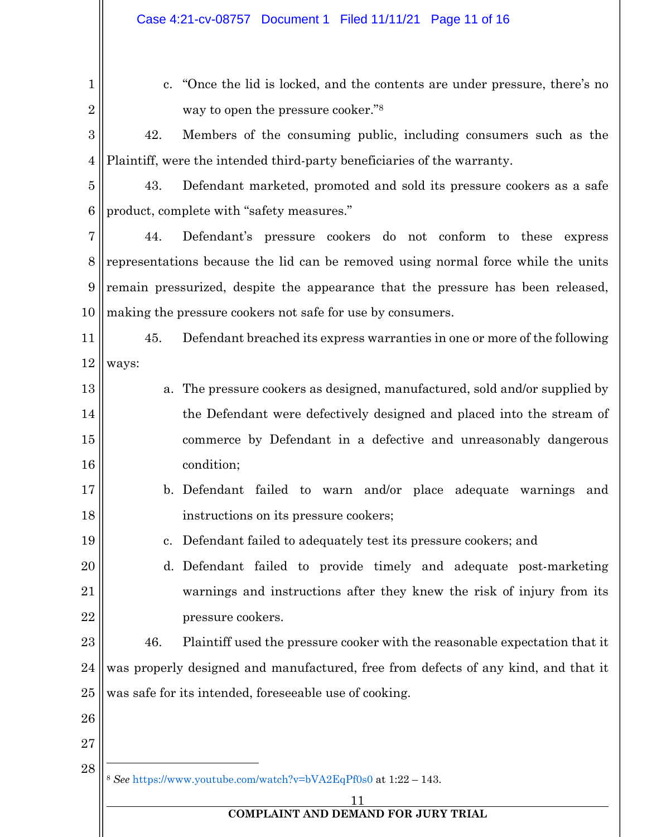| 1              |                                                                                   | c. "Once the lid is locked, and the contents are under pressure, there's no        |
|----------------|-----------------------------------------------------------------------------------|------------------------------------------------------------------------------------|
| $\overline{2}$ |                                                                                   | way to open the pressure cooker." <sup>8</sup>                                     |
| 3              | 42.                                                                               | Members of the consuming public, including consumers such as the                   |
| $\overline{4}$ |                                                                                   | Plaintiff, were the intended third-party beneficiaries of the warranty.            |
| 5              | 43.                                                                               | Defendant marketed, promoted and sold its pressure cookers as a safe               |
| 6              |                                                                                   | product, complete with "safety measures."                                          |
| 7              | 44.                                                                               | Defendant's pressure cookers do not conform to these express                       |
| 8              | representations because the lid can be removed using normal force while the units |                                                                                    |
| 9              | remain pressurized, despite the appearance that the pressure has been released,   |                                                                                    |
| 10             |                                                                                   | making the pressure cookers not safe for use by consumers.                         |
| 11             | 45.                                                                               | Defendant breached its express warranties in one or more of the following          |
| 12             | ways:                                                                             |                                                                                    |
| 13             |                                                                                   | a. The pressure cookers as designed, manufactured, sold and/or supplied by         |
| 14             |                                                                                   | the Defendant were defectively designed and placed into the stream of              |
| 15             |                                                                                   | commerce by Defendant in a defective and unreasonably dangerous                    |
| 16             |                                                                                   | condition;                                                                         |
| 17             |                                                                                   | b. Defendant failed to warn and/or place adequate warnings<br>and                  |
| 18             |                                                                                   | instructions on its pressure cookers;                                              |
| 19             |                                                                                   | Defendant failed to adequately test its pressure cookers; and                      |
| <b>20</b>      |                                                                                   | d. Defendant failed to provide timely and adequate post-marketing                  |
| 21             |                                                                                   | warnings and instructions after they knew the risk of injury from its              |
| 22             |                                                                                   | pressure cookers.                                                                  |
| 23             | 46.                                                                               | Plaintiff used the pressure cooker with the reasonable expectation that it         |
| 24             |                                                                                   | was properly designed and manufactured, free from defects of any kind, and that it |
| 25             |                                                                                   | was safe for its intended, foreseeable use of cooking.                             |
| <b>26</b>      |                                                                                   |                                                                                    |
| <b>27</b>      |                                                                                   |                                                                                    |
| 28             |                                                                                   | <sup>8</sup> See https://www.youtube.com/watch?v=bVA2EqPf0s0 at 1:22 - 143.        |
|                |                                                                                   |                                                                                    |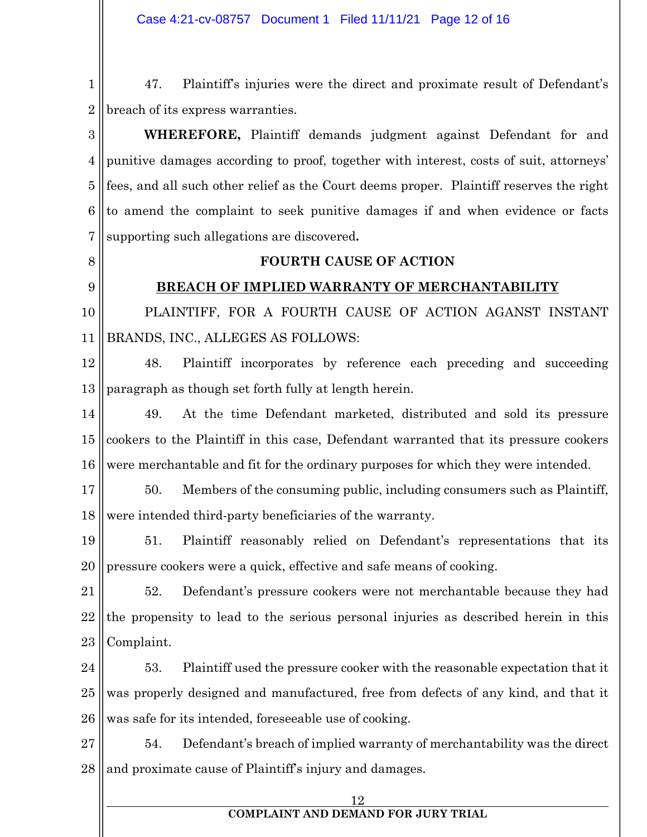1 2 47. Plaintiff's injuries were the direct and proximate result of Defendant's breach of its express warranties.

3 4 5 6 7 **WHEREFORE,** Plaintiff demands judgment against Defendant for and punitive damages according to proof, together with interest, costs of suit, attorneys' fees, and all such other relief as the Court deems proper. Plaintiff reserves the right to amend the complaint to seek punitive damages if and when evidence or facts supporting such allegations are discovered**.**

8

9

### **FOURTH CAUSE OF ACTION**

### **BREACH OF IMPLIED WARRANTY OF MERCHANTABILITY**

10 11 PLAINTIFF, FOR A FOURTH CAUSE OF ACTION AGANST INSTANT BRANDS, INC., ALLEGES AS FOLLOWS:

12 13 48. Plaintiff incorporates by reference each preceding and succeeding paragraph as though set forth fully at length herein.

14 15 16 49. At the time Defendant marketed, distributed and sold its pressure cookers to the Plaintiff in this case, Defendant warranted that its pressure cookers were merchantable and fit for the ordinary purposes for which they were intended.

17 18 50. Members of the consuming public, including consumers such as Plaintiff, were intended third-party beneficiaries of the warranty.

19 20 51. Plaintiff reasonably relied on Defendant's representations that its pressure cookers were a quick, effective and safe means of cooking.

21 22 23 52. Defendant's pressure cookers were not merchantable because they had the propensity to lead to the serious personal injuries as described herein in this Complaint.

24 25 26 53. Plaintiff used the pressure cooker with the reasonable expectation that it was properly designed and manufactured, free from defects of any kind, and that it was safe for its intended, foreseeable use of cooking.

27 28 54. Defendant's breach of implied warranty of merchantability was the direct and proximate cause of Plaintiff's injury and damages.

12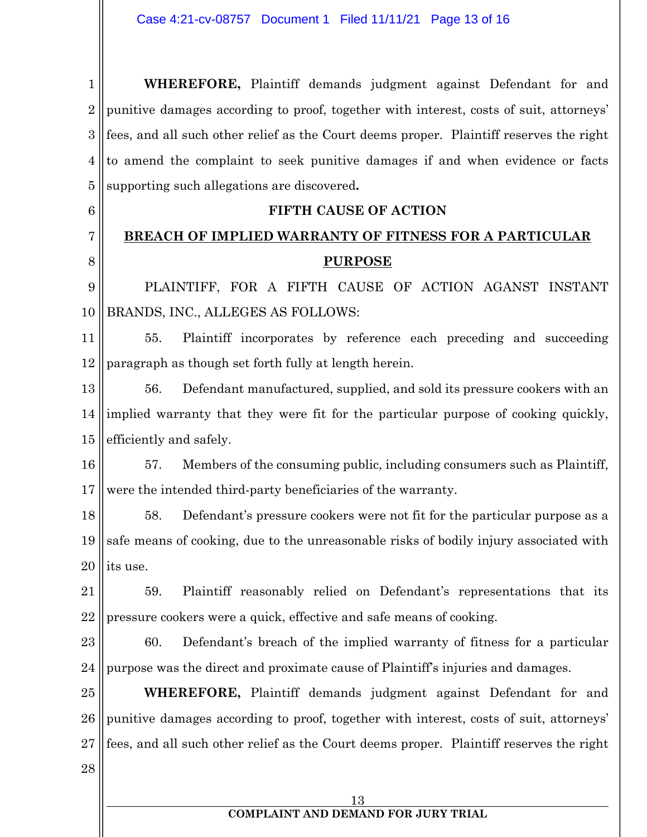1 2 3 4 5 **WHEREFORE,** Plaintiff demands judgment against Defendant for and punitive damages according to proof, together with interest, costs of suit, attorneys' fees, and all such other relief as the Court deems proper. Plaintiff reserves the right to amend the complaint to seek punitive damages if and when evidence or facts supporting such allegations are discovered**.**

**BREACH OF IMPLIED WARRANTY OF FITNESS FOR A PARTICULAR PURPOSE**

**FIFTH CAUSE OF ACTION**

9 10 PLAINTIFF, FOR A FIFTH CAUSE OF ACTION AGANST INSTANT BRANDS, INC., ALLEGES AS FOLLOWS:

11 12 55. Plaintiff incorporates by reference each preceding and succeeding paragraph as though set forth fully at length herein.

13 14 15 56. Defendant manufactured, supplied, and sold its pressure cookers with an implied warranty that they were fit for the particular purpose of cooking quickly, efficiently and safely.

16 17 57. Members of the consuming public, including consumers such as Plaintiff, were the intended third-party beneficiaries of the warranty.

18 19 20 58. Defendant's pressure cookers were not fit for the particular purpose as a safe means of cooking, due to the unreasonable risks of bodily injury associated with its use.

21 22 59. Plaintiff reasonably relied on Defendant's representations that its pressure cookers were a quick, effective and safe means of cooking.

23 24 60. Defendant's breach of the implied warranty of fitness for a particular purpose was the direct and proximate cause of Plaintiff's injuries and damages.

25 26 27 **WHEREFORE,** Plaintiff demands judgment against Defendant for and punitive damages according to proof, together with interest, costs of suit, attorneys' fees, and all such other relief as the Court deems proper. Plaintiff reserves the right

28

6

7

8

## 13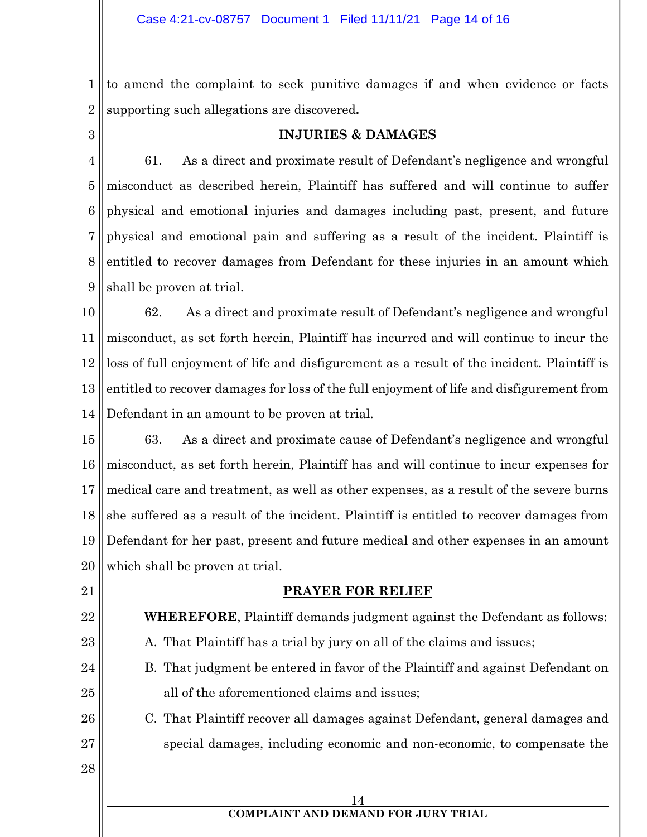1 2 to amend the complaint to seek punitive damages if and when evidence or facts supporting such allegations are discovered**.**

3

## **INJURIES & DAMAGES**

4 5 6 7 8 9 61. As a direct and proximate result of Defendant's negligence and wrongful misconduct as described herein, Plaintiff has suffered and will continue to suffer physical and emotional injuries and damages including past, present, and future physical and emotional pain and suffering as a result of the incident. Plaintiff is entitled to recover damages from Defendant for these injuries in an amount which shall be proven at trial.

10 11 12 13 14 62. As a direct and proximate result of Defendant's negligence and wrongful misconduct, as set forth herein, Plaintiff has incurred and will continue to incur the loss of full enjoyment of life and disfigurement as a result of the incident. Plaintiff is entitled to recover damages for loss of the full enjoyment of life and disfigurement from Defendant in an amount to be proven at trial.

15 16 17 18 19 20 63. As a direct and proximate cause of Defendant's negligence and wrongful misconduct, as set forth herein, Plaintiff has and will continue to incur expenses for medical care and treatment, as well as other expenses, as a result of the severe burns she suffered as a result of the incident. Plaintiff is entitled to recover damages from Defendant for her past, present and future medical and other expenses in an amount which shall be proven at trial.

21

22

23

**PRAYER FOR RELIEF**

**WHEREFORE**, Plaintiff demands judgment against the Defendant as follows:

- A. That Plaintiff has a trial by jury on all of the claims and issues;
- 24 25 B. That judgment be entered in favor of the Plaintiff and against Defendant on all of the aforementioned claims and issues;
- 26 27 C. That Plaintiff recover all damages against Defendant, general damages and special damages, including economic and non-economic, to compensate the
- 28

14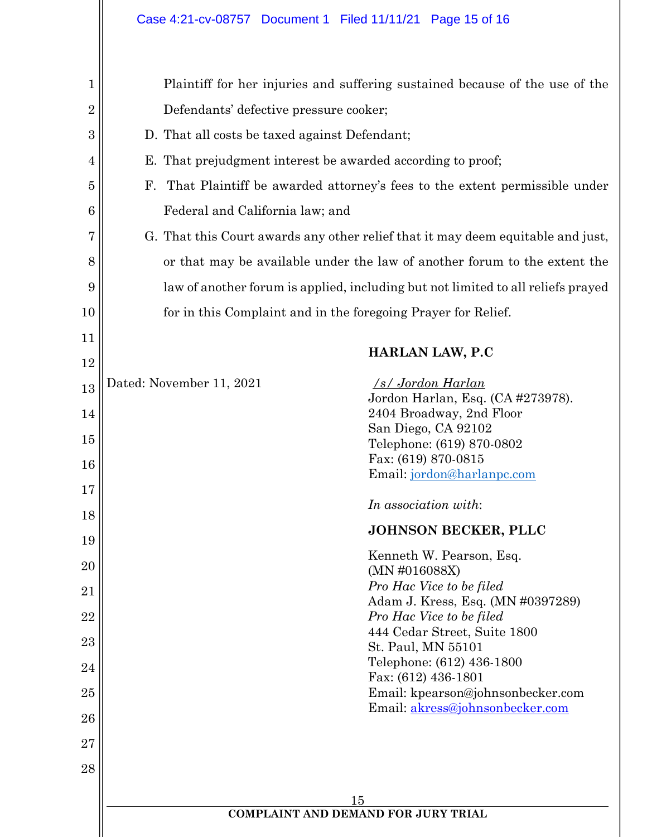| 1              |                                                                                  | Plaintiff for her injuries and suffering sustained because of the use of the |  |
|----------------|----------------------------------------------------------------------------------|------------------------------------------------------------------------------|--|
| $\overline{2}$ | Defendants' defective pressure cooker;                                           |                                                                              |  |
| 3              | D. That all costs be taxed against Defendant;                                    |                                                                              |  |
| $\overline{4}$ | E. That prejudgment interest be awarded according to proof;                      |                                                                              |  |
| 5              | $\mathbf{F}_{\cdot}$                                                             | That Plaintiff be awarded attorney's fees to the extent permissible under    |  |
| 6              | Federal and California law; and                                                  |                                                                              |  |
| 7              | G. That this Court awards any other relief that it may deem equitable and just,  |                                                                              |  |
| 8              | or that may be available under the law of another forum to the extent the        |                                                                              |  |
| 9              | law of another forum is applied, including but not limited to all reliefs prayed |                                                                              |  |
| 10             |                                                                                  | for in this Complaint and in the foregoing Prayer for Relief.                |  |
| 11             |                                                                                  |                                                                              |  |
| 12             |                                                                                  | <b>HARLAN LAW, P.C</b>                                                       |  |
| 13             | Dated: November 11, 2021                                                         | /s/ Jordon Harlan<br>Jordon Harlan, Esq. (CA #273978).                       |  |
| 14             |                                                                                  | 2404 Broadway, 2nd Floor                                                     |  |
| 15             |                                                                                  | San Diego, CA 92102                                                          |  |
|                |                                                                                  | Telephone: (619) 870-0802<br>Fax: (619) 870-0815                             |  |
| 16             |                                                                                  | Email: jordon@harlanpc.com                                                   |  |
| 17             |                                                                                  | In association with:                                                         |  |
| 18             |                                                                                  |                                                                              |  |
| 19             |                                                                                  | <b>JOHNSON BECKER, PLLC</b>                                                  |  |
| 20             |                                                                                  | Kenneth W. Pearson, Esq.                                                     |  |
| 21             |                                                                                  | (MN #016088X)<br>Pro Hac Vice to be filed                                    |  |
| 22             |                                                                                  | Adam J. Kress, Esq. (MN #0397289)<br>Pro Hac Vice to be filed                |  |
| 23             |                                                                                  | 444 Cedar Street, Suite 1800                                                 |  |
| 24             |                                                                                  | St. Paul, MN 55101<br>Telephone: (612) 436-1800                              |  |
| 25             |                                                                                  | Fax: (612) 436-1801<br>Email: kpearson@johnsonbecker.com                     |  |
| 26             |                                                                                  | Email: akress@johnsonbecker.com                                              |  |
| $27\,$         |                                                                                  |                                                                              |  |
| 28             |                                                                                  |                                                                              |  |
|                |                                                                                  |                                                                              |  |
|                |                                                                                  | 15                                                                           |  |
|                |                                                                                  | <b>COMPLAINT AND DEMAND FOR JURY TRIAL</b>                                   |  |